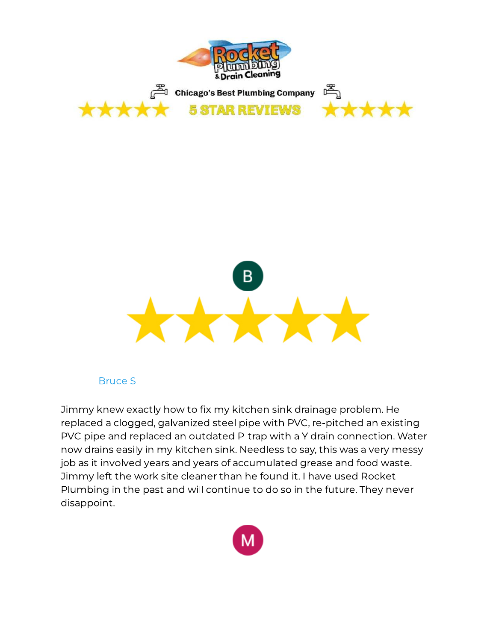



Jimmy knew exactly how to fix my kitchen sink drainage problem. He<br>replaced a clogged, galvanized steel pipe with PVC, re-pitched an existing PVC pipe and replaced an outdated P-trap with a Y drain connection. Water now drains easily in my kitchen sink. Needless to say, this was a very messy job as it involved years and years of accumulated grease and food waste. Jimmy left the work site cleaner than he found it. I have used Rocket Jimmy left the workers site cleaner than he found it. I have used the found Plumbing in the past and will continue to do so in the future. They never disappoint.

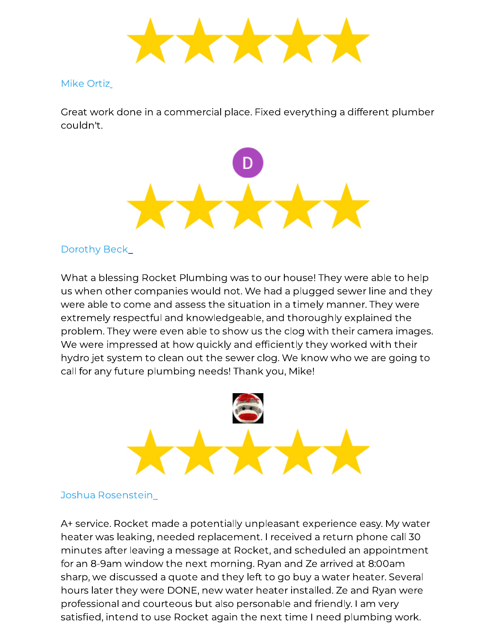Great work done in a commercial place. Fixed everything a different plumber couldn't.



# [Dorothy Beck](https://www.google.com/maps/contrib/116081057152603587738/reviews)

What a blessing Rocket Plumbing was to our house! They were able to help<br>us when other companies would not. We had a plugged sewer line and they were able to come and assess the situation in a timely manner. They were extremely respectful and knowledgeable, and thoroughly explained the problem. They were even able to show us the clog with their camera images. We were impressed at how quickly and efficiently they worked with their hydro jet system to clean out the sewer clog. We know who we are going to call for any future plumbing needs! Thank you, Mike! call for any future plumbing needs! Thanking each  $\frac{1}{2}$ 



A+ service. Rocket made a potentially unpleasant experience easy. My water<br>heater was leaking, needed replacement. I received a return phone call 30 minutes after leaving a message at Rocket, and scheduled an appointment for an 8-9am window the next morning. Ryan and Ze arrived at 8:00am sharp, we discussed a quote and they left to go buy a water heater. Several hours later they were DONE, new water heater installed. Ze and Ryan were professional and courteous but also personable and friendly. I am very professional and courtes as a are personal to maintenary. I am very satised, intend to use Rocket again the next time I need plumbing work.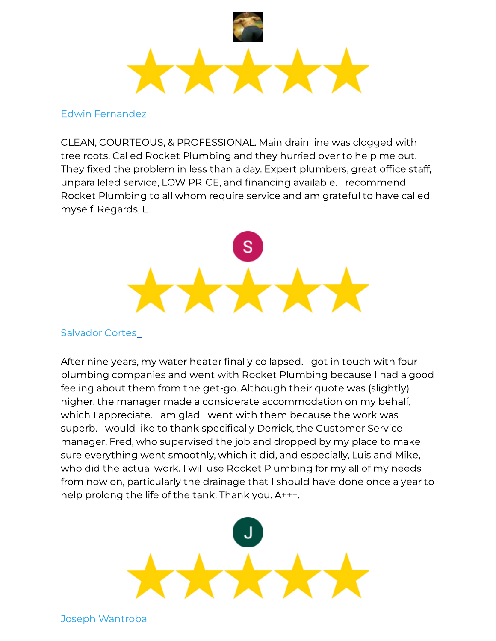

CLEAN, COURTEOUS, & PROFESSIONAL. Main drain line was clogged with They fixed the problem in less than a day. Expert plumbers, great office staff, unparalleled service, LOW PRICE, and financing available. I recommend unparameter service, Low Price, and mainteng available. I recommended Rocket Plumbing to all whom require service and am grateful to have called myself. Regards, E.



After nine years, my water heater finally collapsed. I got in touch with four<br>plumbing companies and went with Rocket Plumbing because I had a good feeling about them from the get-go. Although their guote was (slightly) higher, the manager made a considerate accommodation on my behalf, which I appreciate. I am glad I went with them because the work was superb. I would like to thank specifically Derrick, the Customer Service manager, Fred, who supervised the job and dropped by my place to make sure everything went smoothly, which it did, and especially, Luis and Mike, who did the actual work. I will use Rocket Plumbing for my all of my needs from now on, particularly the drainage that I should have done once a year to help prolong the life of the tank. Thank you. A+++. help prolong the life of the tank. Thank you. A



[Joseph Wantroba](https://www.google.com/maps/contrib/109950649020780342848/reviews)